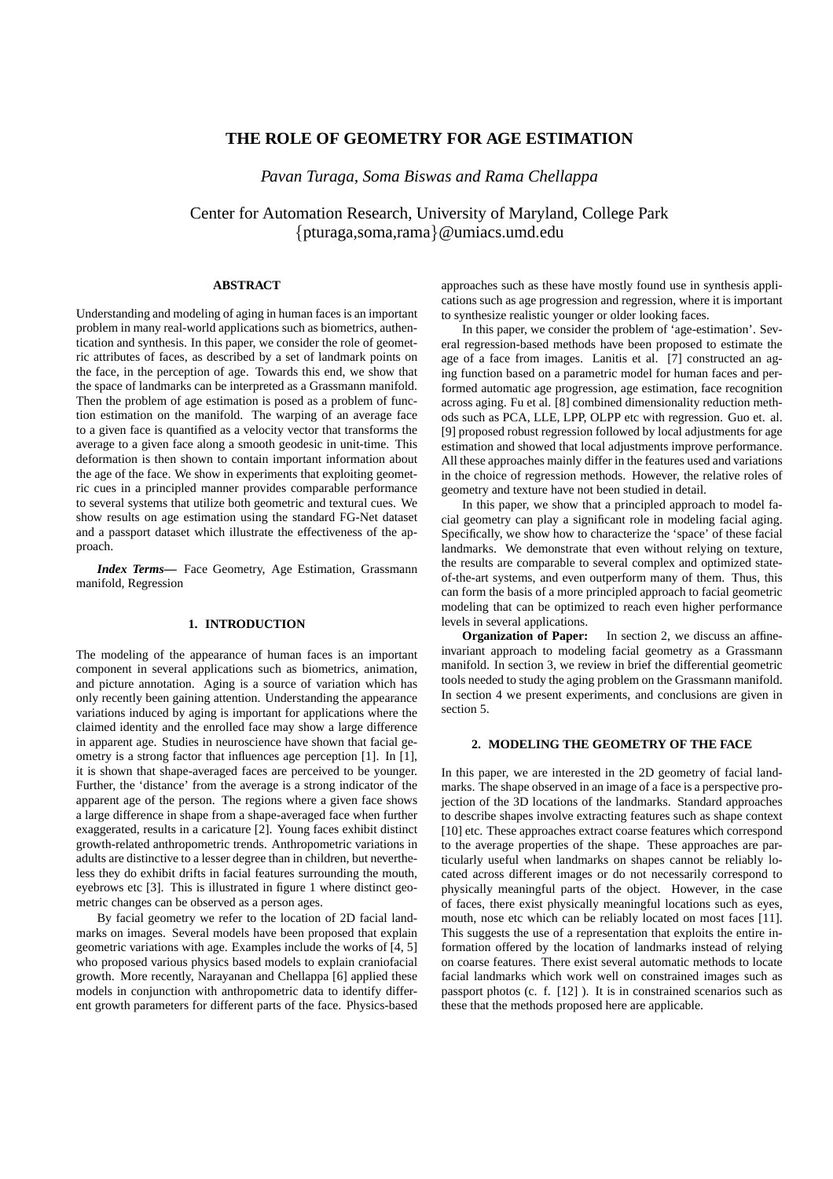# **THE ROLE OF GEOMETRY FOR AGE ESTIMATION**

*Pavan Turaga, Soma Biswas and Rama Chellappa*

Center for Automation Research, University of Maryland, College Park {pturaga,soma,rama}@umiacs.umd.edu

### **ABSTRACT**

Understanding and modeling of aging in human faces is an important problem in many real-world applications such as biometrics, authentication and synthesis. In this paper, we consider the role of geometric attributes of faces, as described by a set of landmark points on the face, in the perception of age. Towards this end, we show that the space of landmarks can be interpreted as a Grassmann manifold. Then the problem of age estimation is posed as a problem of function estimation on the manifold. The warping of an average face to a given face is quantified as a velocity vector that transforms the average to a given face along a smooth geodesic in unit-time. This deformation is then shown to contain important information about the age of the face. We show in experiments that exploiting geometric cues in a principled manner provides comparable performance to several systems that utilize both geometric and textural cues. We show results on age estimation using the standard FG-Net dataset and a passport dataset which illustrate the effectiveness of the approach.

*Index Terms***—** Face Geometry, Age Estimation, Grassmann manifold, Regression

#### **1. INTRODUCTION**

The modeling of the appearance of human faces is an important component in several applications such as biometrics, animation, and picture annotation. Aging is a source of variation which has only recently been gaining attention. Understanding the appearance variations induced by aging is important for applications where the claimed identity and the enrolled face may show a large difference in apparent age. Studies in neuroscience have shown that facial geometry is a strong factor that influences age perception [1]. In [1], it is shown that shape-averaged faces are perceived to be younger. Further, the 'distance' from the average is a strong indicator of the apparent age of the person. The regions where a given face shows a large difference in shape from a shape-averaged face when further exaggerated, results in a caricature [2]. Young faces exhibit distinct growth-related anthropometric trends. Anthropometric variations in adults are distinctive to a lesser degree than in children, but nevertheless they do exhibit drifts in facial features surrounding the mouth, eyebrows etc [3]. This is illustrated in figure 1 where distinct geometric changes can be observed as a person ages.

By facial geometry we refer to the location of 2D facial landmarks on images. Several models have been proposed that explain geometric variations with age. Examples include the works of [4, 5] who proposed various physics based models to explain craniofacial growth. More recently, Narayanan and Chellappa [6] applied these models in conjunction with anthropometric data to identify different growth parameters for different parts of the face. Physics-based

approaches such as these have mostly found use in synthesis applications such as age progression and regression, where it is important to synthesize realistic younger or older looking faces.

In this paper, we consider the problem of 'age-estimation'. Several regression-based methods have been proposed to estimate the age of a face from images. Lanitis et al. [7] constructed an aging function based on a parametric model for human faces and performed automatic age progression, age estimation, face recognition across aging. Fu et al. [8] combined dimensionality reduction methods such as PCA, LLE, LPP, OLPP etc with regression. Guo et. al. [9] proposed robust regression followed by local adjustments for age estimation and showed that local adjustments improve performance. All these approaches mainly differ in the features used and variations in the choice of regression methods. However, the relative roles of geometry and texture have not been studied in detail.

In this paper, we show that a principled approach to model facial geometry can play a significant role in modeling facial aging. Specifically, we show how to characterize the 'space' of these facial landmarks. We demonstrate that even without relying on texture, the results are comparable to several complex and optimized stateof-the-art systems, and even outperform many of them. Thus, this can form the basis of a more principled approach to facial geometric modeling that can be optimized to reach even higher performance levels in several applications.

**Organization of Paper:** In section 2, we discuss an affineinvariant approach to modeling facial geometry as a Grassmann manifold. In section 3, we review in brief the differential geometric tools needed to study the aging problem on the Grassmann manifold. In section 4 we present experiments, and conclusions are given in section 5.

### **2. MODELING THE GEOMETRY OF THE FACE**

In this paper, we are interested in the 2D geometry of facial landmarks. The shape observed in an image of a face is a perspective projection of the 3D locations of the landmarks. Standard approaches to describe shapes involve extracting features such as shape context [10] etc. These approaches extract coarse features which correspond to the average properties of the shape. These approaches are particularly useful when landmarks on shapes cannot be reliably located across different images or do not necessarily correspond to physically meaningful parts of the object. However, in the case of faces, there exist physically meaningful locations such as eyes, mouth, nose etc which can be reliably located on most faces [11]. This suggests the use of a representation that exploits the entire information offered by the location of landmarks instead of relying on coarse features. There exist several automatic methods to locate facial landmarks which work well on constrained images such as passport photos (c. f. [12] ). It is in constrained scenarios such as these that the methods proposed here are applicable.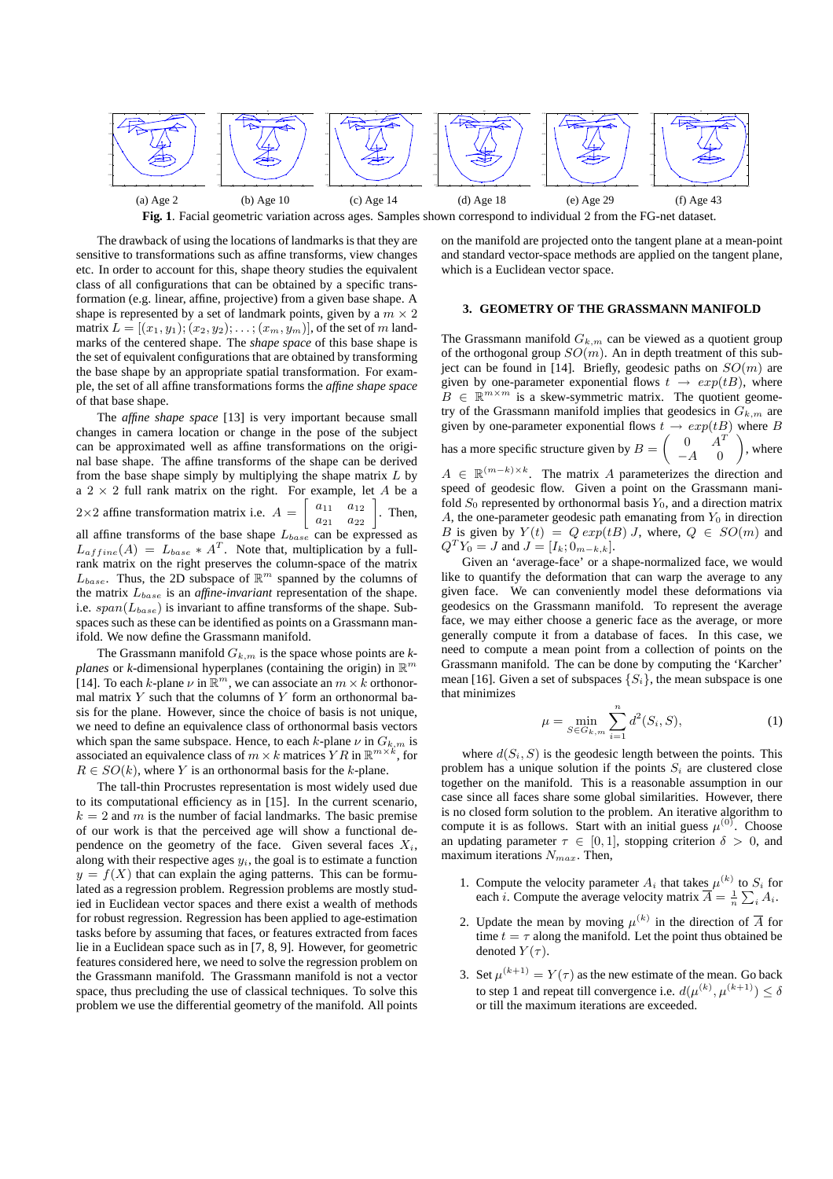

**Fig. 1**. Facial geometric variation across ages. Samples shown correspond to individual 2 from the FG-net dataset.

The drawback of using the locations of landmarks is that they are sensitive to transformations such as affine transforms, view changes etc. In order to account for this, shape theory studies the equivalent class of all configurations that can be obtained by a specific transformation (e.g. linear, affine, projective) from a given base shape. A shape is represented by a set of landmark points, given by a  $m \times 2$ matrix  $L = [(x_1, y_1); (x_2, y_2); \dots; (x_m, y_m)]$ , of the set of m landmarks of the centered shape. The *shape space* of this base shape is the set of equivalent configurations that are obtained by transforming the base shape by an appropriate spatial transformation. For example, the set of all affine transformations forms the *affine shape space* of that base shape.

The *affine shape space* [13] is very important because small changes in camera location or change in the pose of the subject can be approximated well as affine transformations on the original base shape. The affine transforms of the shape can be derived from the base shape simply by multiplying the shape matrix  $L$  by a  $2 \times 2$  full rank matrix on the right. For example, let A be a  $2\times 2$  affine transformation matrix i.e.  $A =$  $\begin{bmatrix} a_{11} & a_{12} \end{bmatrix}$  $\begin{array}{|c} a_{21} & a_{22} \end{array}$ . Then, all affine transforms of the base shape  $L_{base}$  can be expressed as  $L_{affine}(A) = L_{base} * A^T$ . Note that, multiplication by a fullrank matrix on the right preserves the column-space of the matrix  $L_{base}$ . Thus, the 2D subspace of  $\mathbb{R}^m$  spanned by the columns of the matrix  $L_{base}$  is an *affine-invariant* representation of the shape. i.e.  $span(L_{base})$  is invariant to affine transforms of the shape. Subspaces such as these can be identified as points on a Grassmann manifold. We now define the Grassmann manifold.

The Grassmann manifold  $G_{k,m}$  is the space whose points are  $k$ *planes* or *k*-dimensional hyperplanes (containing the origin) in  $\mathbb{R}^m$ [14]. To each k-plane  $\nu$  in  $\mathbb{R}^m$ , we can associate an  $m \times k$  orthonormal matrix  $Y$  such that the columns of  $Y$  form an orthonormal basis for the plane. However, since the choice of basis is not unique, we need to define an equivalence class of orthonormal basis vectors which span the same subspace. Hence, to each k-plane  $\nu$  in  $G_{k,m}$  is associated an equivalence class of  $m \times k$  matrices  $Y R$  in  $\mathbb{R}^{m \times k}$ , for  $R \in SO(k)$ , where Y is an orthonormal basis for the k-plane.

The tall-thin Procrustes representation is most widely used due to its computational efficiency as in [15]. In the current scenario,  $k = 2$  and m is the number of facial landmarks. The basic premise of our work is that the perceived age will show a functional dependence on the geometry of the face. Given several faces  $X_i$ , along with their respective ages  $y_i$ , the goal is to estimate a function  $y = f(X)$  that can explain the aging patterns. This can be formulated as a regression problem. Regression problems are mostly studied in Euclidean vector spaces and there exist a wealth of methods for robust regression. Regression has been applied to age-estimation tasks before by assuming that faces, or features extracted from faces lie in a Euclidean space such as in [7, 8, 9]. However, for geometric features considered here, we need to solve the regression problem on the Grassmann manifold. The Grassmann manifold is not a vector space, thus precluding the use of classical techniques. To solve this problem we use the differential geometry of the manifold. All points

on the manifold are projected onto the tangent plane at a mean-point and standard vector-space methods are applied on the tangent plane, which is a Euclidean vector space.

## **3. GEOMETRY OF THE GRASSMANN MANIFOLD**

The Grassmann manifold  $G_{k,m}$  can be viewed as a quotient group of the orthogonal group  $SO(m)$ . An in depth treatment of this subject can be found in [14]. Briefly, geodesic paths on  $SO(m)$  are given by one-parameter exponential flows  $t \rightarrow exp(tB)$ , where  $B \in \mathbb{R}^{m \times m}$  is a skew-symmetric matrix. The quotient geometry of the Grassmann manifold implies that geodesics in  $G_{k,m}$  are given by one-parameter exponential flows  $t \to exp(tB)$  where B has a more specific structure given by  $B = \begin{pmatrix} 0 & A^T \\ A & 0 \end{pmatrix}$  $-A$  0 ¶ , where  $A \in \mathbb{R}^{(m-k)\times k}$ . The matrix A parameterizes the direction and speed of geodesic flow. Given a point on the Grassmann manifold  $S_0$  represented by orthonormal basis  $Y_0$ , and a direction matrix A, the one-parameter geodesic path emanating from  $Y_0$  in direction B is given by  $Y(t) = Q \exp(tB) J$ , where,  $Q \in SO(m)$  and  $Q^T Y_0 = J$  and  $J = [I_k; 0_{m-k,k}].$ 

Given an 'average-face' or a shape-normalized face, we would like to quantify the deformation that can warp the average to any given face. We can conveniently model these deformations via geodesics on the Grassmann manifold. To represent the average face, we may either choose a generic face as the average, or more generally compute it from a database of faces. In this case, we need to compute a mean point from a collection of points on the Grassmann manifold. The can be done by computing the 'Karcher' mean [16]. Given a set of subspaces  $\{S_i\}$ , the mean subspace is one that minimizes

$$
\mu = \min_{S \in G_{k,m}} \sum_{i=1}^{n} d^2(S_i, S), \tag{1}
$$

where  $d(S_i, S)$  is the geodesic length between the points. This problem has a unique solution if the points  $S_i$  are clustered close together on the manifold. This is a reasonable assumption in our case since all faces share some global similarities. However, there is no closed form solution to the problem. An iterative algorithm to compute it is as follows. Start with an initial guess  $\mu^{(0)}$ . Choose an updating parameter  $\tau \in [0, 1]$ , stopping criterion  $\delta > 0$ , and maximum iterations  $N_{max}$ . Then,

- 1. Compute the velocity parameter  $A_i$  that takes  $\mu^{(k)}$  to  $S_i$  for each *i*. Compute the average velocity matrix  $\overline{A} = \frac{1}{n} \sum_i A_i$ .
- 2. Update the mean by moving  $\mu^{(k)}$  in the direction of  $\overline{A}$  for time  $t = \tau$  along the manifold. Let the point thus obtained be denoted  $Y(\tau)$ .
- 3. Set  $\mu^{(k+1)} = Y(\tau)$  as the new estimate of the mean. Go back to step 1 and repeat till convergence i.e.  $d(\mu^{(k)}, \mu^{(k+1)}) \le \delta$ or till the maximum iterations are exceeded.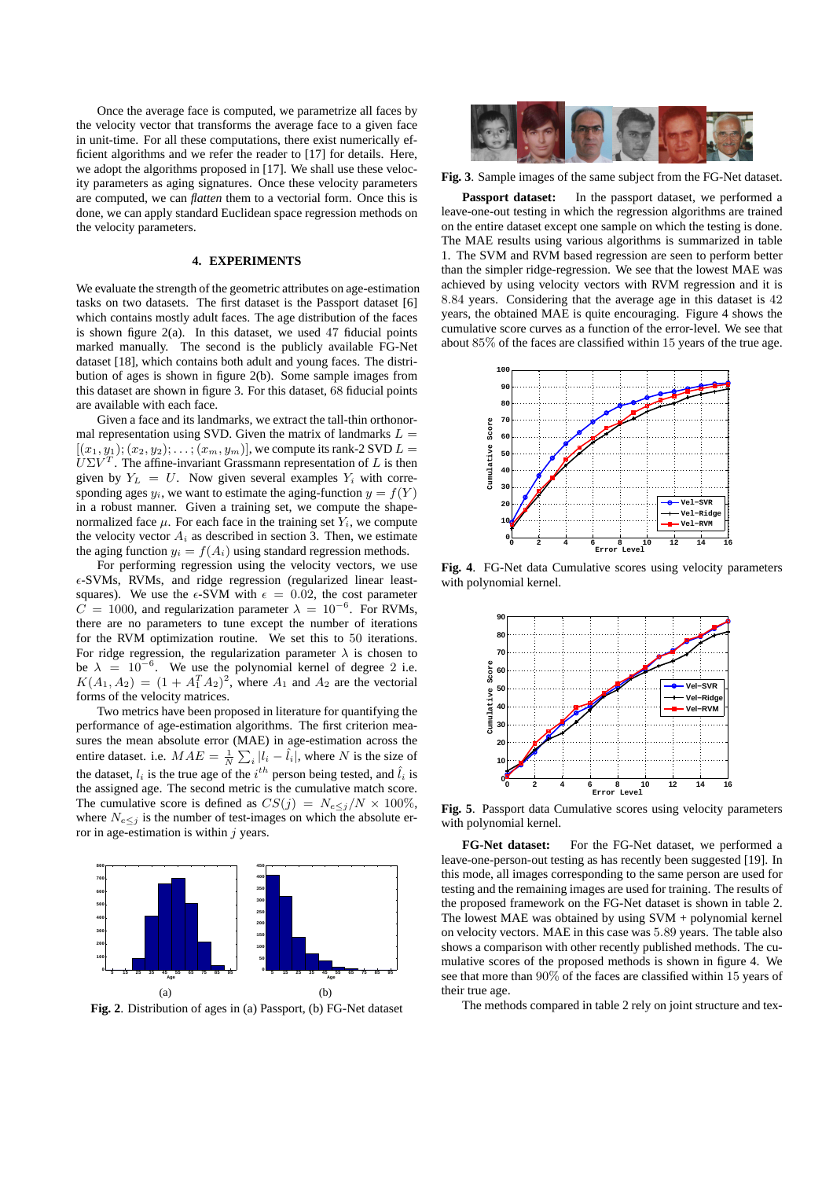Once the average face is computed, we parametrize all faces by the velocity vector that transforms the average face to a given face in unit-time. For all these computations, there exist numerically efficient algorithms and we refer the reader to [17] for details. Here, we adopt the algorithms proposed in [17]. We shall use these velocity parameters as aging signatures. Once these velocity parameters are computed, we can *flatten* them to a vectorial form. Once this is done, we can apply standard Euclidean space regression methods on the velocity parameters.

#### **4. EXPERIMENTS**

We evaluate the strength of the geometric attributes on age-estimation tasks on two datasets. The first dataset is the Passport dataset [6] which contains mostly adult faces. The age distribution of the faces is shown figure  $2(a)$ . In this dataset, we used 47 fiducial points marked manually. The second is the publicly available FG-Net dataset [18], which contains both adult and young faces. The distribution of ages is shown in figure 2(b). Some sample images from this dataset are shown in figure 3. For this dataset, 68 fiducial points are available with each face.

Given a face and its landmarks, we extract the tall-thin orthonormal representation using SVD. Given the matrix of landmarks  $L =$  $[(x_1,y_1); (x_2,y_2); \ldots; (x_m,y_m)],$  we compute its rank-2 SVD  $L =$  $U\Sigma V^T$ . The affine-invariant Grassmann representation of L is then given by  $Y_L = U$ . Now given several examples  $Y_i$  with corresponding ages  $y_i$ , we want to estimate the aging-function  $y = f(Y)$ in a robust manner. Given a training set, we compute the shapenormalized face  $\mu$ . For each face in the training set  $Y_i$ , we compute the velocity vector  $A_i$  as described in section 3. Then, we estimate the aging function  $y_i = f(A_i)$  using standard regression methods.

For performing regression using the velocity vectors, we use  $\epsilon$ -SVMs, RVMs, and ridge regression (regularized linear leastsquares). We use the  $\epsilon$ -SVM with  $\epsilon = 0.02$ , the cost parameter  $\overline{C} = 1000$ , and regularization parameter  $\lambda = 10^{-6}$ . For RVMs, there are no parameters to tune except the number of iterations for the RVM optimization routine. We set this to 50 iterations. For ridge regression, the regularization parameter  $\lambda$  is chosen to be  $\lambda = 10^{-6}$ . We use the polynomial kernel of degree 2 i.e.  $K(A_1, A_2) = (1 + A_1^T A_2)^2$ , where  $A_1$  and  $A_2$  are the vectorial forms of the velocity matrices.

Two metrics have been proposed in literature for quantifying the performance of age-estimation algorithms. The first criterion measures the mean absolute error (MAE) in age-estimation across the entire dataset. i.e.  $MAE = \frac{1}{N} \sum_{i} |l_i - \hat{l}_i|$ , where N is the size of the dataset,  $l_i$  is the true age of the  $i^{th}$  person being tested, and  $\hat{l}_i$  is the assigned age. The second metric is the cumulative match score. The cumulative score is defined as  $CS(j) = N_{e \leq j}/N \times 100\%$ , where  $N_{e \leq j}$  is the number of test-images on which the absolute error in age-estimation is within  $j$  years.



**Fig. 2**. Distribution of ages in (a) Passport, (b) FG-Net dataset



**Fig. 3**. Sample images of the same subject from the FG-Net dataset.

**Passport dataset:** In the passport dataset, we performed a leave-one-out testing in which the regression algorithms are trained on the entire dataset except one sample on which the testing is done. The MAE results using various algorithms is summarized in table 1. The SVM and RVM based regression are seen to perform better than the simpler ridge-regression. We see that the lowest MAE was achieved by using velocity vectors with RVM regression and it is 8.84 years. Considering that the average age in this dataset is 42 years, the obtained MAE is quite encouraging. Figure 4 shows the cumulative score curves as a function of the error-level. We see that about 85% of the faces are classified within 15 years of the true age.



**Fig. 4**. FG-Net data Cumulative scores using velocity parameters with polynomial kernel.



**Fig. 5**. Passport data Cumulative scores using velocity parameters with polynomial kernel.

**FG-Net dataset:** For the FG-Net dataset, we performed a leave-one-person-out testing as has recently been suggested [19]. In this mode, all images corresponding to the same person are used for testing and the remaining images are used for training. The results of the proposed framework on the FG-Net dataset is shown in table 2. The lowest MAE was obtained by using SVM + polynomial kernel on velocity vectors. MAE in this case was 5.89 years. The table also shows a comparison with other recently published methods. The cumulative scores of the proposed methods is shown in figure 4. We see that more than 90% of the faces are classified within 15 years of their true age.

The methods compared in table 2 rely on joint structure and tex-